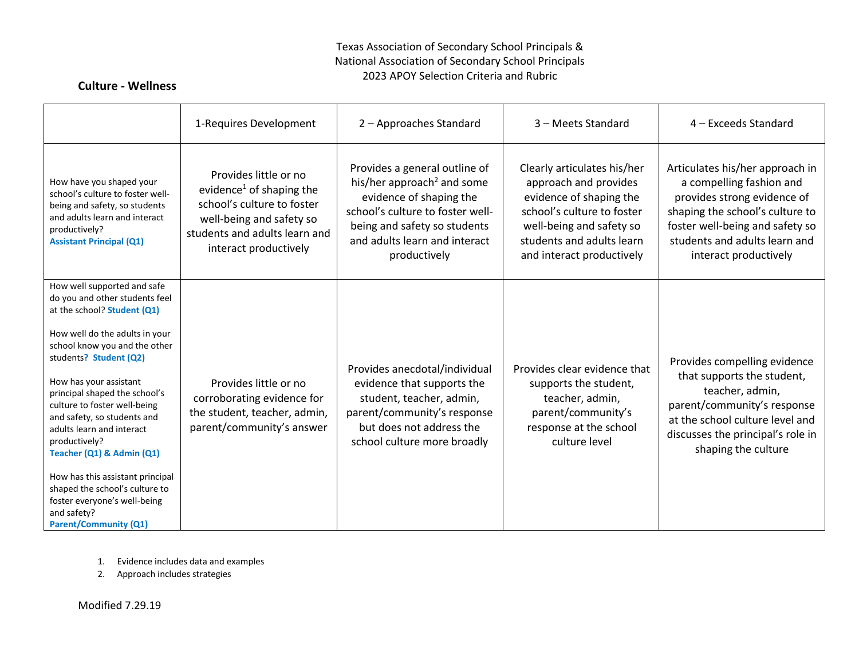#### Texas Association of Secondary School Principals & National Association of Secondary School Principals 2023 APOY Selection Criteria and Rubric

### **Culture - Wellness**

|                                                                                                                                                                                                                                                                                                                                                                                                                                                                                                                                                     | 1-Requires Development                                                                                                                                                            | 2 - Approaches Standard                                                                                                                                                                                                 | 3 - Meets Standard                                                                                                                                                                                  | 4 - Exceeds Standard                                                                                                                                                                                                       |
|-----------------------------------------------------------------------------------------------------------------------------------------------------------------------------------------------------------------------------------------------------------------------------------------------------------------------------------------------------------------------------------------------------------------------------------------------------------------------------------------------------------------------------------------------------|-----------------------------------------------------------------------------------------------------------------------------------------------------------------------------------|-------------------------------------------------------------------------------------------------------------------------------------------------------------------------------------------------------------------------|-----------------------------------------------------------------------------------------------------------------------------------------------------------------------------------------------------|----------------------------------------------------------------------------------------------------------------------------------------------------------------------------------------------------------------------------|
| How have you shaped your<br>school's culture to foster well-<br>being and safety, so students<br>and adults learn and interact<br>productively?<br><b>Assistant Principal (Q1)</b>                                                                                                                                                                                                                                                                                                                                                                  | Provides little or no<br>evidence <sup>1</sup> of shaping the<br>school's culture to foster<br>well-being and safety so<br>students and adults learn and<br>interact productively | Provides a general outline of<br>his/her approach <sup>2</sup> and some<br>evidence of shaping the<br>school's culture to foster well-<br>being and safety so students<br>and adults learn and interact<br>productively | Clearly articulates his/her<br>approach and provides<br>evidence of shaping the<br>school's culture to foster<br>well-being and safety so<br>students and adults learn<br>and interact productively | Articulates his/her approach in<br>a compelling fashion and<br>provides strong evidence of<br>shaping the school's culture to<br>foster well-being and safety so<br>students and adults learn and<br>interact productively |
| How well supported and safe<br>do you and other students feel<br>at the school? Student (Q1)<br>How well do the adults in your<br>school know you and the other<br>students? Student (Q2)<br>How has your assistant<br>principal shaped the school's<br>culture to foster well-being<br>and safety, so students and<br>adults learn and interact<br>productively?<br>Teacher (Q1) & Admin (Q1)<br>How has this assistant principal<br>shaped the school's culture to<br>foster everyone's well-being<br>and safety?<br><b>Parent/Community (Q1)</b> | Provides little or no<br>corroborating evidence for<br>the student, teacher, admin,<br>parent/community's answer                                                                  | Provides anecdotal/individual<br>evidence that supports the<br>student, teacher, admin,<br>parent/community's response<br>but does not address the<br>school culture more broadly                                       | Provides clear evidence that<br>supports the student,<br>teacher, admin,<br>parent/community's<br>response at the school<br>culture level                                                           | Provides compelling evidence<br>that supports the student,<br>teacher, admin,<br>parent/community's response<br>at the school culture level and<br>discusses the principal's role in<br>shaping the culture                |

- 1. Evidence includes data and examples
- 2. Approach includes strategies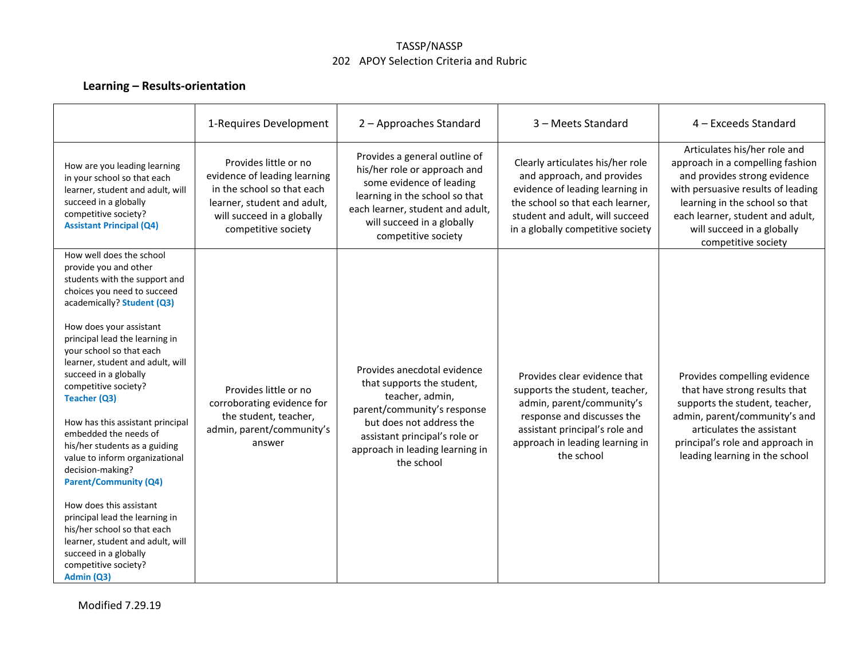#### TASSP/NASSP 202 APOY Selection Criteria and Rubric

# **Learning – Results-orientation**

|                                                                                                                                                                                                                                                                                                                                                                                                                                                                                                                                                                                                                                                                                                                                  | 1-Requires Development                                                                                                                                                  | 2 - Approaches Standard                                                                                                                                                                                                   | 3 - Meets Standard                                                                                                                                                                                            | 4 - Exceeds Standard                                                                                                                                                                                                                                              |
|----------------------------------------------------------------------------------------------------------------------------------------------------------------------------------------------------------------------------------------------------------------------------------------------------------------------------------------------------------------------------------------------------------------------------------------------------------------------------------------------------------------------------------------------------------------------------------------------------------------------------------------------------------------------------------------------------------------------------------|-------------------------------------------------------------------------------------------------------------------------------------------------------------------------|---------------------------------------------------------------------------------------------------------------------------------------------------------------------------------------------------------------------------|---------------------------------------------------------------------------------------------------------------------------------------------------------------------------------------------------------------|-------------------------------------------------------------------------------------------------------------------------------------------------------------------------------------------------------------------------------------------------------------------|
| How are you leading learning<br>in your school so that each<br>learner, student and adult, will<br>succeed in a globally<br>competitive society?<br><b>Assistant Principal (Q4)</b>                                                                                                                                                                                                                                                                                                                                                                                                                                                                                                                                              | Provides little or no<br>evidence of leading learning<br>in the school so that each<br>learner, student and adult,<br>will succeed in a globally<br>competitive society | Provides a general outline of<br>his/her role or approach and<br>some evidence of leading<br>learning in the school so that<br>each learner, student and adult,<br>will succeed in a globally<br>competitive society      | Clearly articulates his/her role<br>and approach, and provides<br>evidence of leading learning in<br>the school so that each learner,<br>student and adult, will succeed<br>in a globally competitive society | Articulates his/her role and<br>approach in a compelling fashion<br>and provides strong evidence<br>with persuasive results of leading<br>learning in the school so that<br>each learner, student and adult,<br>will succeed in a globally<br>competitive society |
| How well does the school<br>provide you and other<br>students with the support and<br>choices you need to succeed<br>academically? Student (Q3)<br>How does your assistant<br>principal lead the learning in<br>your school so that each<br>learner, student and adult, will<br>succeed in a globally<br>competitive society?<br>Teacher (Q3)<br>How has this assistant principal<br>embedded the needs of<br>his/her students as a guiding<br>value to inform organizational<br>decision-making?<br><b>Parent/Community (Q4)</b><br>How does this assistant<br>principal lead the learning in<br>his/her school so that each<br>learner, student and adult, will<br>succeed in a globally<br>competitive society?<br>Admin (Q3) | Provides little or no<br>corroborating evidence for<br>the student, teacher,<br>admin, parent/community's<br>answer                                                     | Provides anecdotal evidence<br>that supports the student,<br>teacher, admin,<br>parent/community's response<br>but does not address the<br>assistant principal's role or<br>approach in leading learning in<br>the school | Provides clear evidence that<br>supports the student, teacher,<br>admin, parent/community's<br>response and discusses the<br>assistant principal's role and<br>approach in leading learning in<br>the school  | Provides compelling evidence<br>that have strong results that<br>supports the student, teacher,<br>admin, parent/community's and<br>articulates the assistant<br>principal's role and approach in<br>leading learning in the school                               |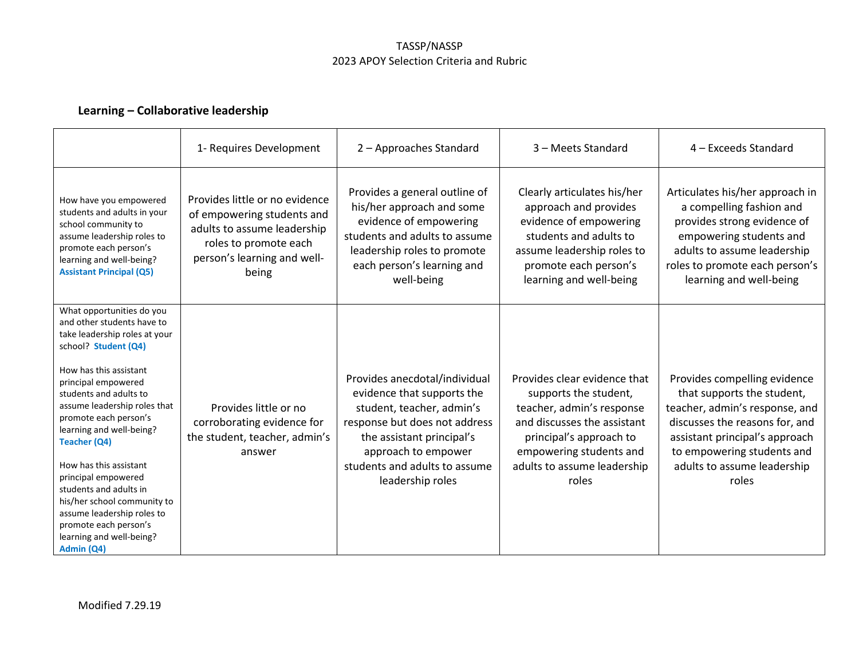#### TASSP/NASSP 2023 APOY Selection Criteria and Rubric

## **Learning – Collaborative leadership**

|                                                                                                                                                                                                                                                                                                                                                                                                                                                                                                             | 1- Requires Development                                                                                                                                      | 2 - Approaches Standard                                                                                                                                                                                                            | 3 - Meets Standard                                                                                                                                                                                              | 4 - Exceeds Standard                                                                                                                                                                                                                   |
|-------------------------------------------------------------------------------------------------------------------------------------------------------------------------------------------------------------------------------------------------------------------------------------------------------------------------------------------------------------------------------------------------------------------------------------------------------------------------------------------------------------|--------------------------------------------------------------------------------------------------------------------------------------------------------------|------------------------------------------------------------------------------------------------------------------------------------------------------------------------------------------------------------------------------------|-----------------------------------------------------------------------------------------------------------------------------------------------------------------------------------------------------------------|----------------------------------------------------------------------------------------------------------------------------------------------------------------------------------------------------------------------------------------|
| How have you empowered<br>students and adults in your<br>school community to<br>assume leadership roles to<br>promote each person's<br>learning and well-being?<br><b>Assistant Principal (Q5)</b>                                                                                                                                                                                                                                                                                                          | Provides little or no evidence<br>of empowering students and<br>adults to assume leadership<br>roles to promote each<br>person's learning and well-<br>being | Provides a general outline of<br>his/her approach and some<br>evidence of empowering<br>students and adults to assume<br>leadership roles to promote<br>each person's learning and<br>well-being                                   | Clearly articulates his/her<br>approach and provides<br>evidence of empowering<br>students and adults to<br>assume leadership roles to<br>promote each person's<br>learning and well-being                      | Articulates his/her approach in<br>a compelling fashion and<br>provides strong evidence of<br>empowering students and<br>adults to assume leadership<br>roles to promote each person's<br>learning and well-being                      |
| What opportunities do you<br>and other students have to<br>take leadership roles at your<br>school? Student (Q4)<br>How has this assistant<br>principal empowered<br>students and adults to<br>assume leadership roles that<br>promote each person's<br>learning and well-being?<br>Teacher (Q4)<br>How has this assistant<br>principal empowered<br>students and adults in<br>his/her school community to<br>assume leadership roles to<br>promote each person's<br>learning and well-being?<br>Admin (Q4) | Provides little or no<br>corroborating evidence for<br>the student, teacher, admin's<br>answer                                                               | Provides anecdotal/individual<br>evidence that supports the<br>student, teacher, admin's<br>response but does not address<br>the assistant principal's<br>approach to empower<br>students and adults to assume<br>leadership roles | Provides clear evidence that<br>supports the student,<br>teacher, admin's response<br>and discusses the assistant<br>principal's approach to<br>empowering students and<br>adults to assume leadership<br>roles | Provides compelling evidence<br>that supports the student,<br>teacher, admin's response, and<br>discusses the reasons for, and<br>assistant principal's approach<br>to empowering students and<br>adults to assume leadership<br>roles |